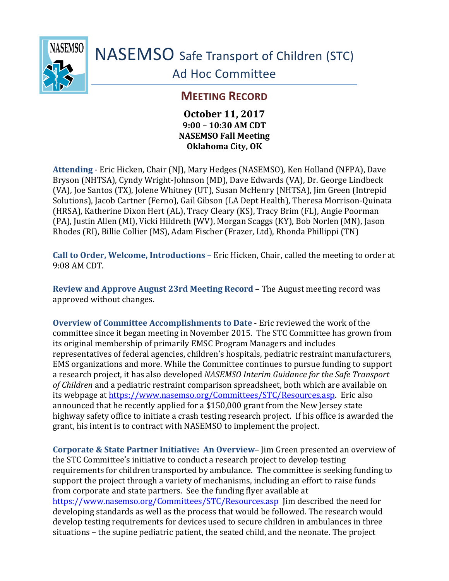

NASEMSO Safe Transport of Children (STC)

Ad Hoc Committee

## **MEETING RECORD**

## **October 11, 2017 9:00 – 10:30 AM CDT NASEMSO Fall Meeting Oklahoma City, OK**

**Attending** - Eric Hicken, Chair (NJ), Mary Hedges (NASEMSO), Ken Holland (NFPA), Dave Bryson (NHTSA), Cyndy Wright-Johnson (MD), Dave Edwards (VA), Dr. George Lindbeck (VA), Joe Santos (TX), Jolene Whitney (UT), Susan McHenry (NHTSA), Jim Green (Intrepid Solutions), Jacob Cartner (Ferno), Gail Gibson (LA Dept Health), Theresa Morrison-Quinata (HRSA), Katherine Dixon Hert (AL), Tracy Cleary (KS), Tracy Brim (FL), Angie Poorman (PA), Justin Allen (MI), Vicki Hildreth (WV), Morgan Scaggs (KY), Bob Norlen (MN), Jason Rhodes (RI), Billie Collier (MS), Adam Fischer (Frazer, Ltd), Rhonda Phillippi (TN)

**Call to Order, Welcome, Introductions** – Eric Hicken, Chair, called the meeting to order at 9:08 AM CDT.

**Review and Approve August 23rd Meeting Record** – The August meeting record was approved without changes.

**Overview of Committee Accomplishments to Date** - Eric reviewed the work of the committee since it began meeting in November 2015. The STC Committee has grown from its original membership of primarily EMSC Program Managers and includes representatives of federal agencies, children's hospitals, pediatric restraint manufacturers, EMS organizations and more. While the Committee continues to pursue funding to support a research project, it has also developed *NASEMSO Interim Guidance for the Safe Transport of Children* and a pediatric restraint comparison spreadsheet, both which are available on its webpage at [https://www.nasemso.org/Committees/STC/Resources.asp.](https://www.nasemso.org/Committees/STC/Resources.asp) Eric also announced that he recently applied for a \$150,000 grant from the New Jersey state highway safety office to initiate a crash testing research project. If his office is awarded the grant, his intent is to contract with NASEMSO to implement the project.

**Corporate & State Partner Initiative: An Overview**– Jim Green presented an overview of the STC Committee's initiative to conduct a research project to develop testing requirements for children transported by ambulance. The committee is seeking funding to support the project through a variety of mechanisms, including an effort to raise funds from corporate and state partners. See the funding flyer available at <https://www.nasemso.org/Committees/STC/Resources.asp>Jim described the need for developing standards as well as the process that would be followed. The research would develop testing requirements for devices used to secure children in ambulances in three situations – the supine pediatric patient, the seated child, and the neonate. The project